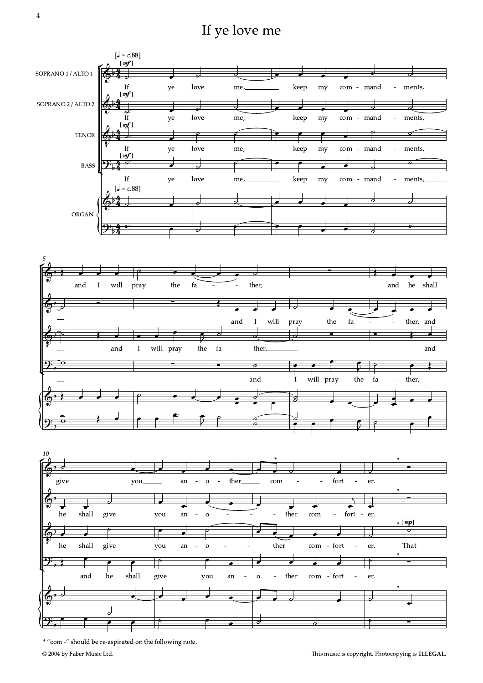If ye love me



<sup>\* &</sup>quot;com -" should be re-aspirated on the following note.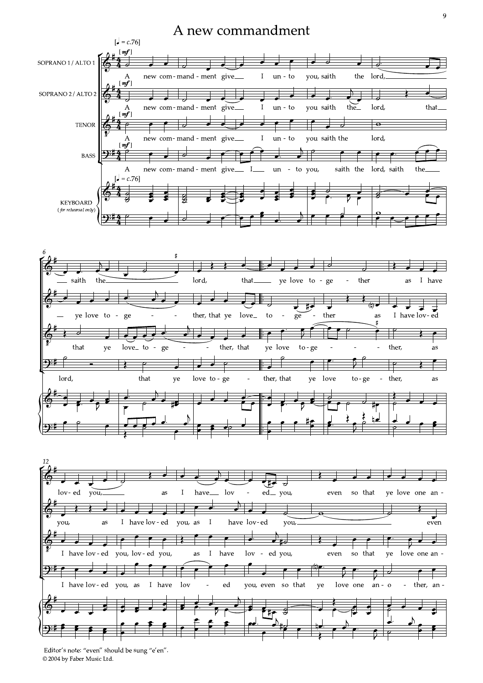## A new commandment







© 2004 by Faber Music Ltd. Editor's note: "even" should be sung "e'en".